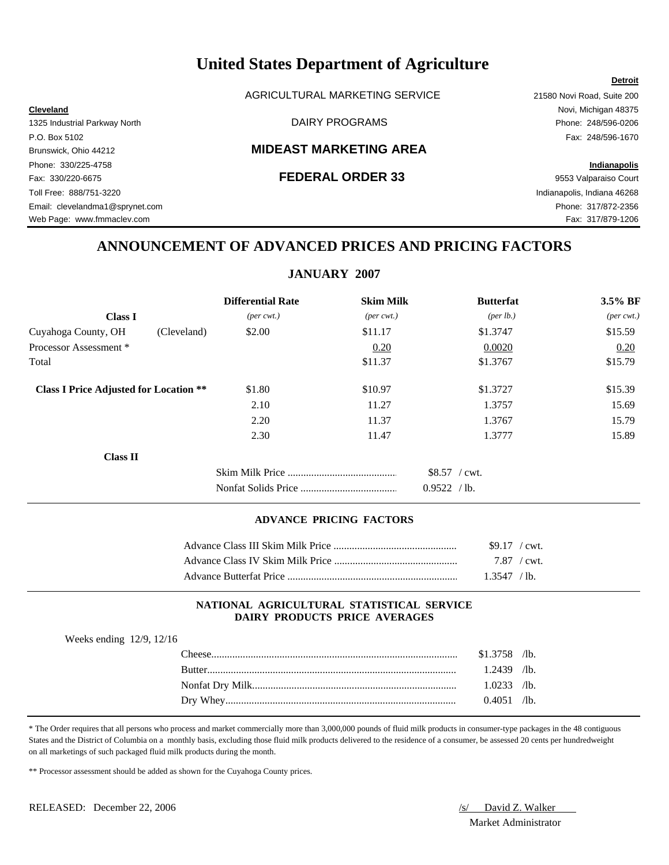AGRICULTURAL MARKETING SERVICE 21580 Novi Road, Suite 200

**Cleveland** Novi, Michigan 48375 1325 Industrial Parkway North DAIRY PROGRAMS Phone: 248/596-0206

#### Brunswick, Ohio 44212 **MIDEAST MARKETING AREA**

Fax: 330/220-6675 **FEDERAL ORDER 33** 9553 Valparaiso Court Toll Free: 888/751-3220 Indianapolis, Indiana 46268 Email: clevelandma1@sprynet.com Phone: 317/872-2356 Web Page: www.fmmaclev.com Fax: 317/879-1206

P.O. Box 5102 Fax: 248/596-1670 Phone: 330/225-4758 **Indianapolis**

**Detroit**

# **ANNOUNCEMENT OF ADVANCED PRICES AND PRICING FACTORS**

### **JANUARY 2007**

|                                               |             | <b>Differential Rate</b>    | <b>Skim Milk</b>            | <b>Butterfat</b>                  | 3.5% BF                     |
|-----------------------------------------------|-------------|-----------------------------|-----------------------------|-----------------------------------|-----------------------------|
| <b>Class I</b>                                |             | $(\text{per} \text{ cwt.})$ | $(\text{per} \text{ cwt.})$ | (per lb.)                         | $(\text{per} \text{ cwt.})$ |
| Cuyahoga County, OH                           | (Cleveland) | \$2.00                      | \$11.17                     | \$1.3747                          | \$15.59                     |
| Processor Assessment*                         |             |                             | 0.20                        | 0.0020                            | 0.20                        |
| Total                                         |             |                             | \$11.37                     | \$1.3767                          | \$15.79                     |
| <b>Class I Price Adjusted for Location **</b> |             | \$1.80                      | \$10.97                     | \$1,3727                          | \$15.39                     |
|                                               |             | 2.10                        | 11.27                       | 1.3757                            | 15.69                       |
|                                               |             | 2.20                        | 11.37                       | 1.3767                            | 15.79                       |
|                                               |             | 2.30                        | 11.47                       | 1.3777                            | 15.89                       |
| <b>Class II</b>                               |             |                             |                             |                                   |                             |
|                                               |             |                             |                             | $$8.57$ / cwt.<br>0.9522<br>/ lb. |                             |

#### **ADVANCE PRICING FACTORS**

| $$9.17$ / cwt.        |  |
|-----------------------|--|
| $7.87 / \text{cwt}$ . |  |
| $1.3547$ / lb.        |  |

#### **NATIONAL AGRICULTURAL STATISTICAL SERVICE DAIRY PRODUCTS PRICE AVERAGES**

| Weeks ending 12/9, 12/16 |  |  |
|--------------------------|--|--|
|--------------------------|--|--|

| `heese      | \$1.3758 | $\sqrt{1}b$ . |
|-------------|----------|---------------|
| Rutter      | 2439     | $\Delta$      |
|             | .0233    | $\sqrt{1}b$ . |
| Whey<br>Drv | 0.4051   | $\sqrt{1}b$ . |

\* The Order requires that all persons who process and market commercially more than 3,000,000 pounds of fluid milk products in consumer-type packages in the 48 contiguous States and the District of Columbia on a monthly basis, excluding those fluid milk products delivered to the residence of a consumer, be assessed 20 cents per hundredweight on all marketings of such packaged fluid milk products during the month.

\*\* Processor assessment should be added as shown for the Cuyahoga County prices.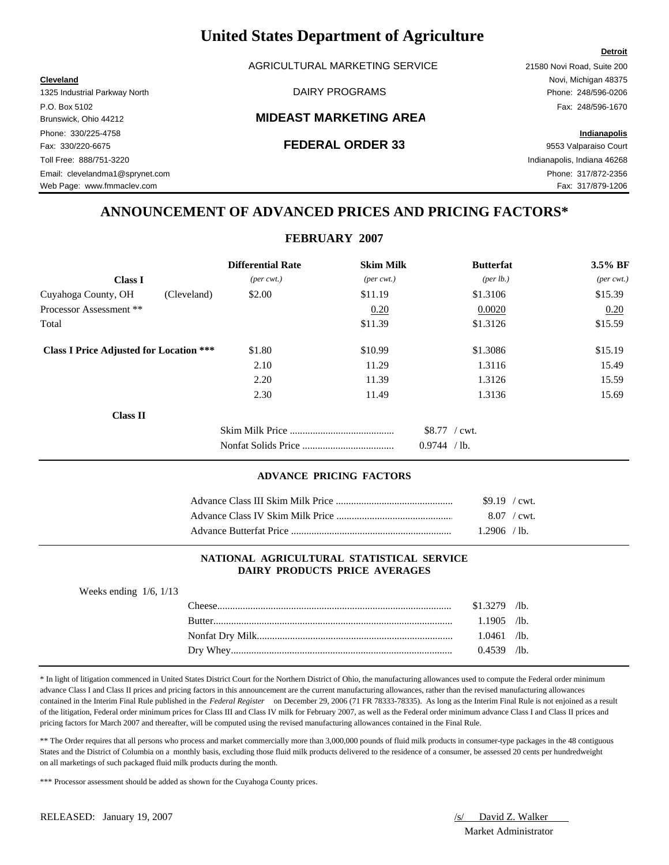AGRICULTURAL MARKETING SERVICE 21580 Novi Road, Suite 200

#### Brunswick, Ohio 44212 **MIDEAST MARKETING AREA**

P.O. Box 5102 Fax: 248/596-1670 Phone: 330/225-4758 **Indianapolis** Fax: 330/220-6675 **FEDERAL ORDER 33** 9553 Valparaiso Court Toll Free: 888/751-3220 Indianapolis, Indiana 46268 Email: clevelandma1@sprynet.com Phone: 317/872-2356 Web Page: www.fmmaclev.com example of the state of the state of the state of the state of the S17/879-1206

# **ANNOUNCEMENT OF ADVANCED PRICES AND PRICING FACTORS\***

**FEBRUARY 2007**

|                                                | <b>Differential Rate</b>    | <b>Skim Milk</b>            | <b>Butterfat</b>     | 3.5% BF                     |
|------------------------------------------------|-----------------------------|-----------------------------|----------------------|-----------------------------|
| <b>Class I</b>                                 | $(\text{per} \text{ cwt.})$ | $(\text{per} \text{ cwt.})$ | ${\rm (per \, lb.)}$ | $(\text{per} \text{ cwt.})$ |
| Cuyahoga County, OH<br>(Cleveland)             | \$2.00                      | \$11.19                     | \$1.3106             | \$15.39                     |
| Processor Assessment **                        |                             | 0.20                        | 0.0020               | 0.20                        |
| Total                                          |                             | \$11.39                     | \$1.3126             | \$15.59                     |
| <b>Class I Price Adjusted for Location ***</b> | \$1.80                      | \$10.99                     | \$1.3086             | \$15.19                     |
|                                                | 2.10                        | 11.29                       | 1.3116               | 15.49                       |
|                                                | 2.20                        | 11.39                       | 1.3126               | 15.59                       |
|                                                | 2.30                        | 11.49                       | 1.3136               | 15.69                       |
| <b>Class II</b>                                |                             |                             |                      |                             |
|                                                |                             |                             | $$8.77$ / cwt.       |                             |
|                                                |                             |                             | 0.9744<br>/ lb.      |                             |

#### **ADVANCE PRICING FACTORS**

| $$9.19$ / cwt.      |  |
|---------------------|--|
| $8.07 / \text{cwt}$ |  |
| $1.2906$ /lb.       |  |

#### **NATIONAL AGRICULTURAL STATISTICAL SERVICE DAIRY PRODUCTS PRICE AVERAGES**

Weeks ending 1/6, 1/13

| `heese        | $$1.3279$ /lb. |  |
|---------------|----------------|--|
| <b>Rutter</b> | $1.1905$ /lb.  |  |
|               | $1.0461$ /lb.  |  |
|               | $0.4539$ /lb.  |  |

\* In light of litigation commenced in United States District Court for the Northern District of Ohio, the manufacturing allowances used to compute the Federal order minimum advance Class I and Class II prices and pricing factors in this announcement are the current manufacturing allowances, rather than the revised manufacturing allowances contained in the Interim Final Rule published in the *Federal Register* on December 29, 2006 (71 FR 78333-78335). As long as the Interim Final Rule is not enjoined as a result of the litigation, Federal order minimum prices for Class III and Class IV milk for February 2007, as well as the Federal order minimum advance Class I and Class II prices and pricing factors for March 2007 and thereafter, will be computed using the revised manufacturing allowances contained in the Final Rule.

\*\* The Order requires that all persons who process and market commercially more than 3,000,000 pounds of fluid milk products in consumer-type packages in the 48 contiguous States and the District of Columbia on a monthly basis, excluding those fluid milk products delivered to the residence of a consumer, be assessed 20 cents per hundredweight on all marketings of such packaged fluid milk products during the month.

\*\*\* Processor assessment should be added as shown for the Cuyahoga County prices.

Market Administrator

**Detroit**

# **Cleveland** Novi, Michigan 48375 1325 Industrial Parkway North DAIRY PROGRAMS Phone: 248/596-0206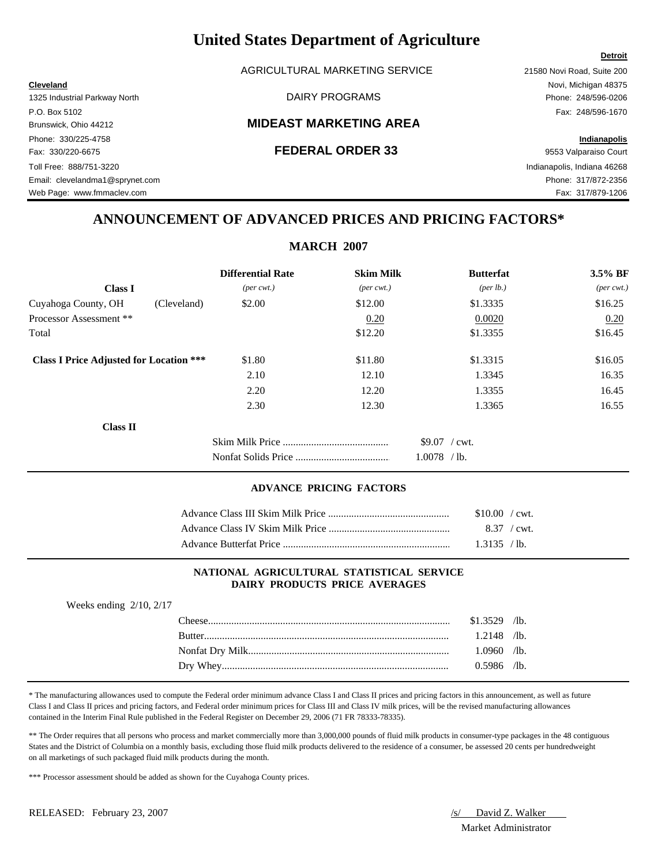AGRICULTURAL MARKETING SERVICE 21580 Novi Road, Suite 200

**Cleveland** Novi, Michigan 48375

### Brunswick, Ohio 44212 **MIDEAST MARKETING AREA**

# **ANNOUNCEMENT OF ADVANCED PRICES AND PRICING FACTORS\***

|                                                |                             | MANULL 2007                 |                   |                             |
|------------------------------------------------|-----------------------------|-----------------------------|-------------------|-----------------------------|
|                                                | <b>Differential Rate</b>    | <b>Skim Milk</b>            | <b>Butterfat</b>  | $3.5\%$ BF                  |
| <b>Class I</b>                                 | $(\text{per} \text{ cwt.})$ | $(\text{per} \text{ cwt.})$ | (per lb.)         | $(\text{per} \text{ cwt.})$ |
| Cuyahoga County, OH<br>(Cleveland)             | \$2.00                      | \$12.00                     | \$1.3335          | \$16.25                     |
| Processor Assessment **                        |                             | 0.20                        | 0.0020            | 0.20                        |
| Total                                          |                             | \$12.20                     | \$1.3355          | \$16.45                     |
| <b>Class I Price Adjusted for Location ***</b> | \$1.80                      | \$11.80                     | \$1.3315          | \$16.05                     |
|                                                | 2.10                        | 12.10                       | 1.3345            | 16.35                       |
|                                                | 2.20                        | 12.20                       | 1.3355            | 16.45                       |
|                                                | 2.30                        | 12.30                       | 1.3365            | 16.55                       |
| <b>Class II</b>                                |                             |                             |                   |                             |
|                                                |                             |                             | $$9.07$ / cwt.    |                             |
|                                                |                             |                             | 1.0078<br>$/1b$ . |                             |

#### **ADVANCE PRICING FACTORS**

| \$10.00 / cwt. |  |
|----------------|--|
| 8.37 / cwt.    |  |
| 1.3135 / lb.   |  |

#### **NATIONAL AGRICULTURAL STATISTICAL SERVICE DAIRY PRODUCTS PRICE AVERAGES**

| Weeks ending $2/10$ , $2/17$ |                |  |
|------------------------------|----------------|--|
|                              | $$1.3529$ /lb. |  |
|                              | $1.2148$ /lb.  |  |
|                              | $1.0960$ /lb.  |  |
|                              | $0.5986$ /lb.  |  |

\* The manufacturing allowances used to compute the Federal order minimum advance Class I and Class II prices and pricing factors in this announcement, as well as future Class I and Class II prices and pricing factors, and Federal order minimum prices for Class III and Class IV milk prices, will be the revised manufacturing allowances contained in the Interim Final Rule published in the Federal Register on December 29, 2006 (71 FR 78333-78335).

\*\* The Order requires that all persons who process and market commercially more than 3,000,000 pounds of fluid milk products in consumer-type packages in the 48 contiguous States and the District of Columbia on a monthly basis, excluding those fluid milk products delivered to the residence of a consumer, be assessed 20 cents per hundredweight on all marketings of such packaged fluid milk products during the month.

\*\*\* Processor assessment should be added as shown for the Cuyahoga County prices.

Market Administrator

### **Detroit**

# 1325 Industrial Parkway North DAIRY PROGRAMS Phone: 248/596-0206 P.O. Box 5102 Fax: 248/596-1670 Phone: 330/225-4758 **Indianapolis** Fax: 330/220-6675 **FEDERAL ORDER 33** 9553 Valparaiso Court Toll Free: 888/751-3220 Indianapolis, Indiana 46268 Email: clevelandma1@sprynet.com Phone: 317/872-2356

Web Page: www.fmmaclev.com **Fax: 317/879-1206** 

**MARCH 2007**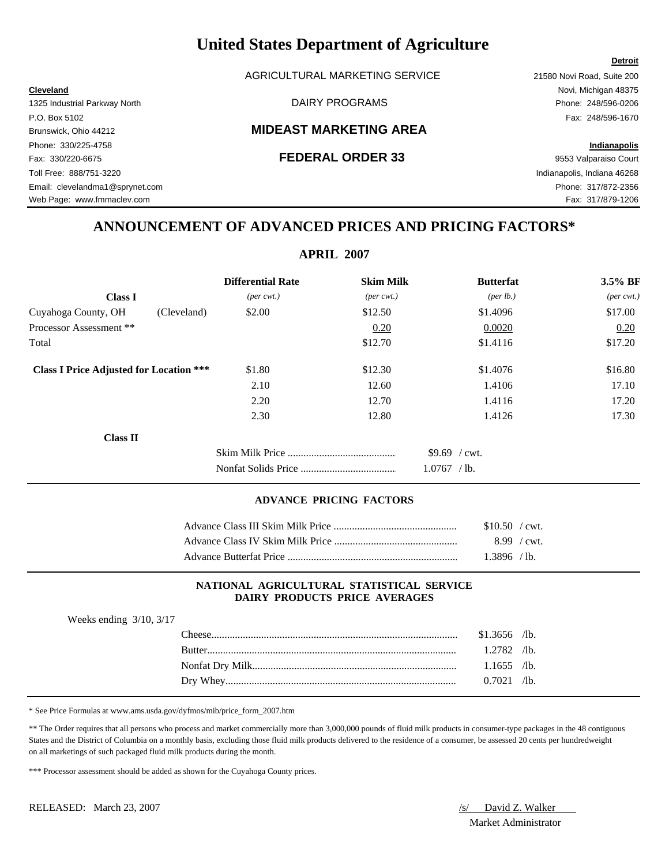AGRICULTURAL MARKETING SERVICE 21580 Novi Road, Suite 200

1325 Industrial Parkway North DAIRY PROGRAMS Phone: 248/596-0206

### Brunswick, Ohio 44212 **MIDEAST MARKETING AREA**

#### Fax: 330/220-6675 **FEDERAL ORDER 33** 9553 Valparaiso Court

P.O. Box 5102 Fax: 248/596-1670 Phone: 330/225-4758 **Indianapolis**

Toll Free: 888/751-3220 Indianapolis, Indiana 46268 Email: clevelandma1@sprynet.com Phone: 317/872-2356 Web Page: www.fmmaclev.com Fax: 317/879-1206

# **ANNOUNCEMENT OF ADVANCED PRICES AND PRICING FACTORS\***

| <b>Differential Rate</b>    | <b>Skim Milk</b>            | <b>Butterfat</b>  | 3.5% BF                     |
|-----------------------------|-----------------------------|-------------------|-----------------------------|
| $(\text{per} \text{ cwt.})$ | $(\text{per} \text{ cwt.})$ | (per lb.)         | $(\text{per} \text{ cwt.})$ |
| \$2.00                      | \$12.50                     | \$1.4096          | \$17.00                     |
|                             | 0.20                        | 0.0020            | 0.20                        |
|                             | \$12.70                     | \$1.4116          | \$17.20                     |
| \$1.80                      | \$12.30                     | \$1.4076          | \$16.80                     |
| 2.10                        | 12.60                       | 1.4106            | 17.10                       |
| 2.20                        | 12.70                       | 1.4116            | 17.20                       |
| 2.30                        | 12.80                       | 1.4126            | 17.30                       |
|                             |                             |                   |                             |
|                             |                             | $$9.69$ / cwt.    |                             |
|                             |                             | 1.0767<br>$/$ lb. |                             |
|                             |                             | ALIML $\mu$       |                             |

#### **ADVANCE PRICING FACTORS**

| $$10.50$ / cwt.       |  |
|-----------------------|--|
| $8.99 / \text{cwt}$ . |  |
| $1.3896$ /lb.         |  |

#### **NATIONAL AGRICULTURAL STATISTICAL SERVICE DAIRY PRODUCTS PRICE AVERAGES**

| <b>Rutter</b> | $$1.3656$ /lb. |  |
|---------------|----------------|--|
|               |                |  |
|               | $1.2782$ /lb.  |  |
|               | $1.1655$ /lb.  |  |
|               | $0.7021$ /lb.  |  |

\* See Price Formulas at www.ams.usda.gov/dyfmos/mib/price\_form\_2007.htm

\*\* The Order requires that all persons who process and market commercially more than 3,000,000 pounds of fluid milk products in consumer-type packages in the 48 contiguous States and the District of Columbia on a monthly basis, excluding those fluid milk products delivered to the residence of a consumer, be assessed 20 cents per hundredweight on all marketings of such packaged fluid milk products during the month.

\*\*\* Processor assessment should be added as shown for the Cuyahoga County prices.

Market Administrator

### **Detroit**

# **APRIL 2007**

**Cleveland** Novi, Michigan 48375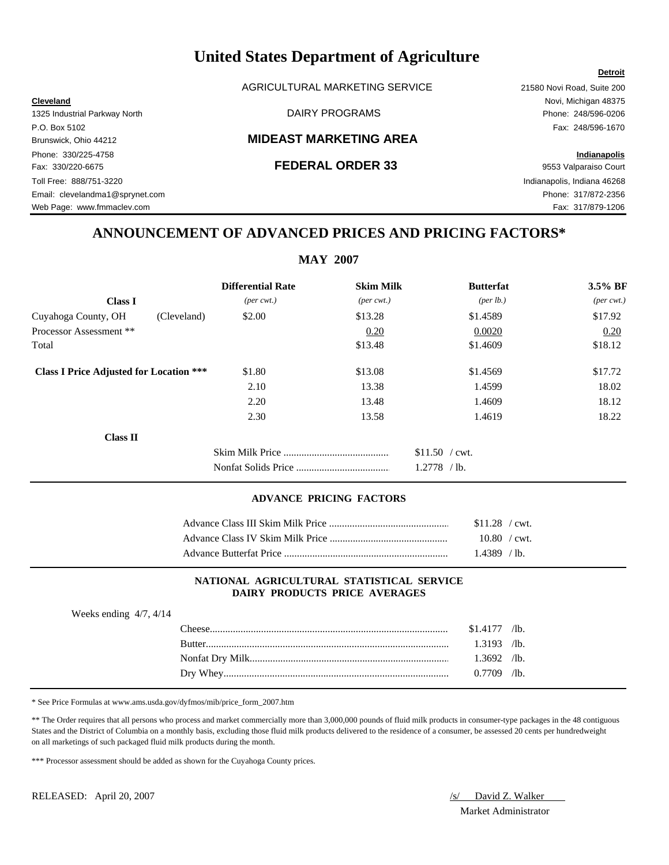AGRICULTURAL MARKETING SERVICE 21580 Novi Road, Suite 200

#### Brunswick, Ohio 44212 **MIDEAST MARKETING AREA**

# Phone: 330/225-4758 **Indianapolis** Fax: 330/220-6675 **FEDERAL ORDER 33** 9553 Valparaiso Court Toll Free: 888/751-3220 Indianapolis, Indiana 46268 Email: clevelandma1@sprynet.com Phone: 317/872-2356 Web Page: www.fmmaclev.com example of the community of the community of the community of the community of the community of the community of the community of the community of the community of the community of the community

**Detroit**

**Cleveland** Novi, Michigan 48375 1325 Industrial Parkway North DAIRY PROGRAMS Phone: 248/596-0206 P.O. Box 5102 Fax: 248/596-1670

# **ANNOUNCEMENT OF ADVANCED PRICES AND PRICING FACTORS\***

### **MAY 2007**

|                                                | <b>Differential Rate</b>    | <b>Skim Milk</b>            | <b>Butterfat</b>     | $3.5\%$ BF                  |
|------------------------------------------------|-----------------------------|-----------------------------|----------------------|-----------------------------|
| <b>Class I</b>                                 | $(\text{per} \text{ cwt.})$ | $(\text{per} \text{ cwt.})$ | ${\rm (per \, lb.)}$ | $(\text{per} \text{ cwt.})$ |
| Cuyahoga County, OH<br>(Cleveland)             | \$2.00                      | \$13.28                     | \$1.4589             | \$17.92                     |
| Processor Assessment **                        |                             | 0.20                        | 0.0020               | 0.20                        |
| Total                                          |                             | \$13.48                     | \$1.4609             | \$18.12                     |
| <b>Class I Price Adjusted for Location ***</b> | \$1.80                      | \$13.08                     | \$1.4569             | \$17.72                     |
|                                                | 2.10                        | 13.38                       | 1.4599               | 18.02                       |
|                                                | 2.20                        | 13.48                       | 1.4609               | 18.12                       |
|                                                | 2.30                        | 13.58                       | 1.4619               | 18.22                       |
| <b>Class II</b>                                |                             |                             |                      |                             |
|                                                |                             |                             | $$11.50$ / cwt.      |                             |
|                                                |                             |                             | 1.2778<br>$/1b$ .    |                             |

#### **ADVANCE PRICING FACTORS**

| $$11.28$ / cwt. |  |
|-----------------|--|
| $10.80$ / cwt.  |  |
| 1.4389   / lb.  |  |

#### **NATIONAL AGRICULTURAL STATISTICAL SERVICE DAIRY PRODUCTS PRICE AVERAGES**

| Weeks ending $4/7$ , $4/14$ |               |                |  |
|-----------------------------|---------------|----------------|--|
|                             | `heese        | $$1.4177$ /lb. |  |
|                             | <b>Butter</b> | $1.3193$ /lb.  |  |
|                             |               | $1.3692$ /lb.  |  |
|                             |               | $0.7709$ /lb.  |  |

\* See Price Formulas at www.ams.usda.gov/dyfmos/mib/price\_form\_2007.htm

\*\* The Order requires that all persons who process and market commercially more than 3,000,000 pounds of fluid milk products in consumer-type packages in the 48 contiguous States and the District of Columbia on a monthly basis, excluding those fluid milk products delivered to the residence of a consumer, be assessed 20 cents per hundredweight on all marketings of such packaged fluid milk products during the month.

\*\*\* Processor assessment should be added as shown for the Cuyahoga County prices.

Market Administrator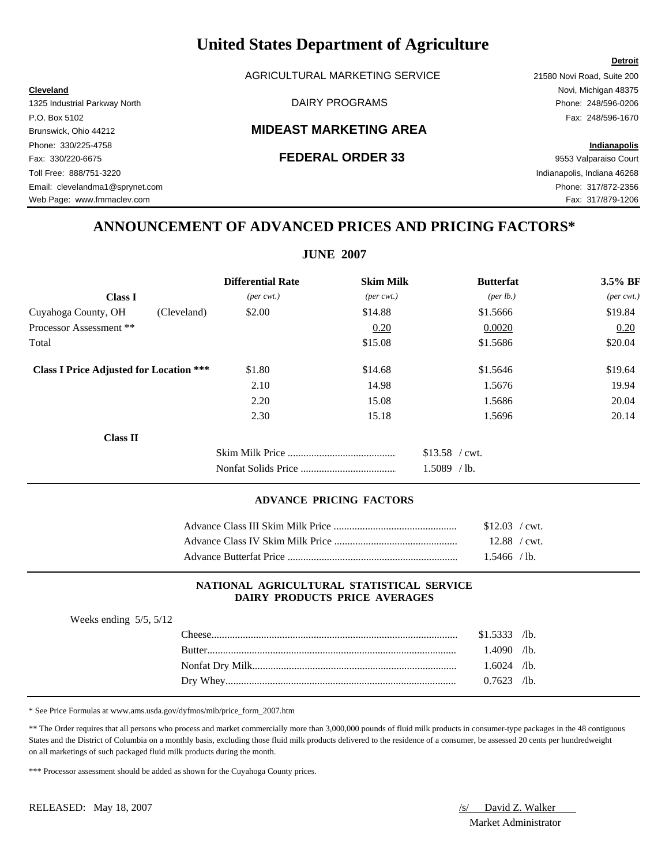AGRICULTURAL MARKETING SERVICE 21580 Novi Road, Suite 200

### Brunswick, Ohio 44212 **MIDEAST MARKETING AREA**

# **ANNOUNCEMENT OF ADVANCED PRICES AND PRICING FACTORS\***

|                                                |                             | <b>JUNE 2007</b>            |                    |                             |
|------------------------------------------------|-----------------------------|-----------------------------|--------------------|-----------------------------|
|                                                | <b>Differential Rate</b>    | <b>Skim Milk</b>            | <b>Butterfat</b>   | 3.5% BF                     |
| <b>Class I</b>                                 | $(\text{per} \text{ cwt.})$ | $(\text{per} \text{ cwt.})$ | $(\text{per lb.})$ | $(\text{per} \text{ cwt.})$ |
| Cuyahoga County, OH<br>(Cleveland)             | \$2.00                      | \$14.88                     | \$1.5666           | \$19.84                     |
| Processor Assessment **                        |                             | 0.20                        | 0.0020             | 0.20                        |
| Total                                          |                             | \$15.08                     | \$1.5686           | \$20.04                     |
| <b>Class I Price Adjusted for Location ***</b> | \$1.80                      | \$14.68                     | \$1.5646           | \$19.64                     |
|                                                | 2.10                        | 14.98                       | 1.5676             | 19.94                       |
|                                                | 2.20                        | 15.08                       | 1.5686             | 20.04                       |
|                                                | 2.30                        | 15.18                       | 1.5696             | 20.14                       |
| <b>Class II</b>                                |                             |                             |                    |                             |
|                                                |                             |                             | $$13.58$ / cwt.    |                             |
|                                                |                             |                             | 1.5089<br>$/$ lb.  |                             |

#### **ADVANCE PRICING FACTORS**

|                                                                          | $$12.03$ / cwt. |  |
|--------------------------------------------------------------------------|-----------------|--|
|                                                                          |                 |  |
| Advance Butterfat Price <b>Server Server Server Server Server Server</b> | 1.5466 / lb.    |  |

#### **NATIONAL AGRICULTURAL STATISTICAL SERVICE DAIRY PRODUCTS PRICE AVERAGES**

| Weeks ending $5/5$ , $5/12$ |        |                |  |
|-----------------------------|--------|----------------|--|
|                             |        | $$1.5333$ /lb. |  |
|                             | Rutter | $.4090$ /lb.   |  |
|                             |        | $1.6024$ /lb.  |  |
|                             |        | $0.7623$ /lb.  |  |

\* See Price Formulas at www.ams.usda.gov/dyfmos/mib/price\_form\_2007.htm

\*\* The Order requires that all persons who process and market commercially more than 3,000,000 pounds of fluid milk products in consumer-type packages in the 48 contiguous States and the District of Columbia on a monthly basis, excluding those fluid milk products delivered to the residence of a consumer, be assessed 20 cents per hundredweight on all marketings of such packaged fluid milk products during the month.

\*\*\* Processor assessment should be added as shown for the Cuyahoga County prices.

Market Administrator

### **Detroit**

**Cleveland** Novi, Michigan 48375 1325 Industrial Parkway North DAIRY PROGRAMS Phone: 248/596-0206 P.O. Box 5102 Fax: 248/596-1670 Phone: 330/225-4758 **Indianapolis** Fax: 330/220-6675 **FEDERAL ORDER 33** 9553 Valparaiso Court Toll Free: 888/751-3220 Indianapolis, Indiana 46268 Email: clevelandma1@sprynet.com Phone: 317/872-2356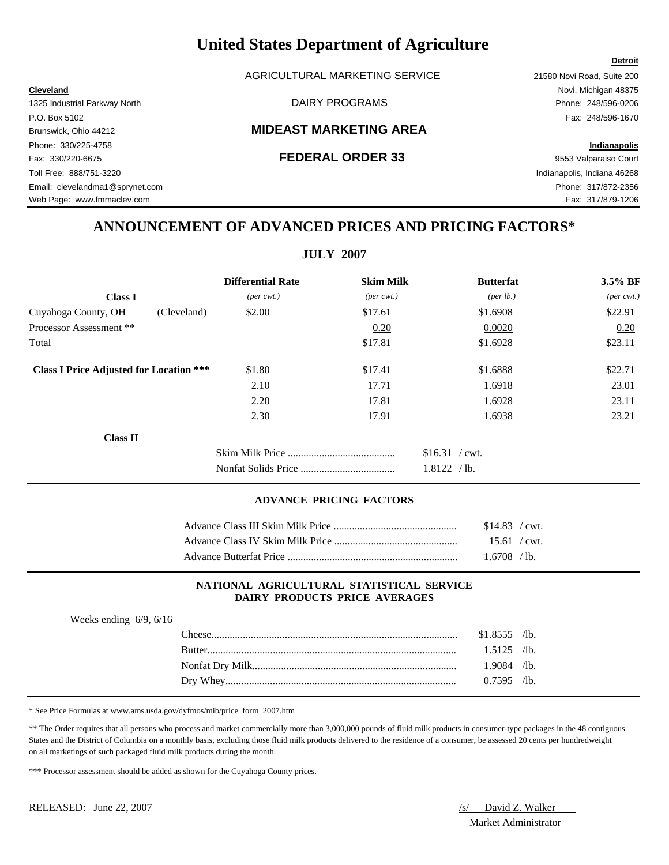AGRICULTURAL MARKETING SERVICE 21580 Novi Road, Suite 200

### Brunswick, Ohio 44212 **MIDEAST MARKETING AREA**

# **ANNOUNCEMENT OF ADVANCED PRICES AND PRICING FACTORS\***

|                                                |                             | <b>JULY 2007</b>            |                   |                             |
|------------------------------------------------|-----------------------------|-----------------------------|-------------------|-----------------------------|
|                                                | <b>Differential Rate</b>    | <b>Skim Milk</b>            | <b>Butterfat</b>  | 3.5% BF                     |
| <b>Class I</b>                                 | $(\text{per} \text{ cwt.})$ | $(\text{per} \text{ cwt.})$ | (per lb.)         | $(\text{per} \text{ cwt.})$ |
| Cuyahoga County, OH<br>(Cleveland)             | \$2.00                      | \$17.61                     | \$1.6908          | \$22.91                     |
| Processor Assessment **                        |                             | 0.20                        | 0.0020            | 0.20                        |
| Total                                          |                             | \$17.81                     | \$1.6928          | \$23.11                     |
| <b>Class I Price Adjusted for Location ***</b> | \$1.80                      | \$17.41                     | \$1.6888          | \$22.71                     |
|                                                | 2.10                        | 17.71                       | 1.6918            | 23.01                       |
|                                                | 2.20                        | 17.81                       | 1.6928            | 23.11                       |
|                                                | 2.30                        | 17.91                       | 1.6938            | 23.21                       |
| Class II                                       |                             |                             |                   |                             |
|                                                |                             |                             | $$16.31$ / cwt.   |                             |
|                                                |                             |                             | 1.8122<br>$/$ lb. |                             |

#### **ADVANCE PRICING FACTORS**

| $$14.83$ / cwt. |  |
|-----------------|--|
| $15.61$ / cwt.  |  |
| $1.6708$ / lb.  |  |

#### **NATIONAL AGRICULTURAL STATISTICAL SERVICE DAIRY PRODUCTS PRICE AVERAGES**

| Weeks ending $6/9$ , $6/16$ |               |                |  |
|-----------------------------|---------------|----------------|--|
|                             |               | $$1.8555$ /lb. |  |
|                             | <b>Butter</b> | $1.5125$ /lb.  |  |
|                             |               | $1.9084$ /lb.  |  |
|                             |               | $0.7595$ /lb.  |  |

\* See Price Formulas at www.ams.usda.gov/dyfmos/mib/price\_form\_2007.htm

\*\* The Order requires that all persons who process and market commercially more than 3,000,000 pounds of fluid milk products in consumer-type packages in the 48 contiguous States and the District of Columbia on a monthly basis, excluding those fluid milk products delivered to the residence of a consumer, be assessed 20 cents per hundredweight on all marketings of such packaged fluid milk products during the month.

\*\*\* Processor assessment should be added as shown for the Cuyahoga County prices.

Market Administrator

#### **Detroit**

**Cleveland** Novi, Michigan 48375 1325 Industrial Parkway North DAIRY PROGRAMS Phone: 248/596-0206 P.O. Box 5102 Fax: 248/596-1670 Phone: 330/225-4758 **Indianapolis** Fax: 330/220-6675 **FEDERAL ORDER 33** 9553 Valparaiso Court Toll Free: 888/751-3220 Indianapolis, Indiana 46268 Email: clevelandma1@sprynet.com Phone: 317/872-2356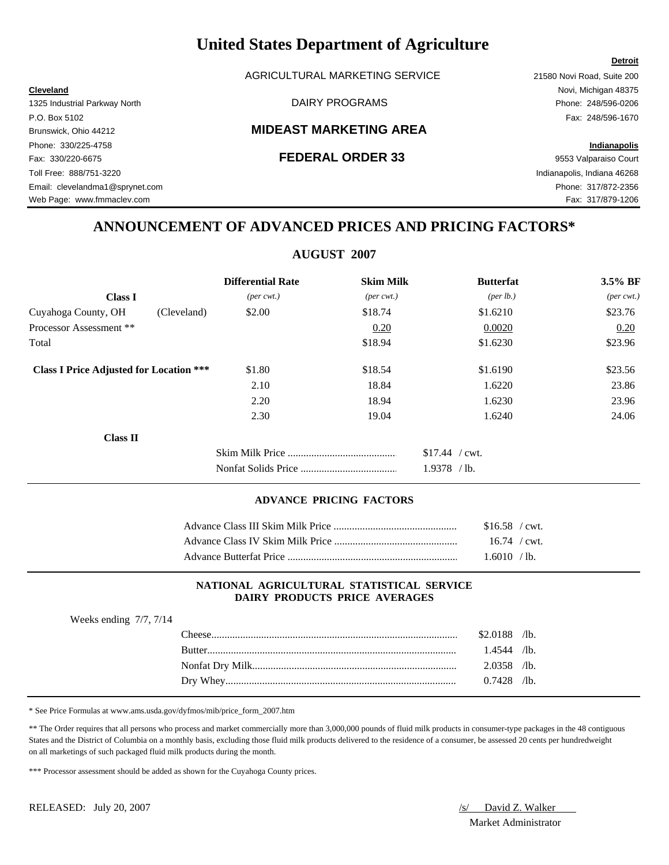AGRICULTURAL MARKETING SERVICE 21580 Novi Road, Suite 200

### Brunswick, Ohio 44212 **MIDEAST MARKETING AREA**

# **ANNOUNCEMENT OF ADVANCED PRICES AND PRICING FACTORS\***

### **AUGUST 2007**

|                                                | <b>Differential Rate</b>    | <b>Skim Milk</b>            | <b>Butterfat</b>   | 3.5% BF                     |
|------------------------------------------------|-----------------------------|-----------------------------|--------------------|-----------------------------|
| <b>Class I</b>                                 | $(\text{per} \text{ cwt.})$ | $(\text{per} \text{ cwt.})$ | $(\text{per lb.})$ | $(\text{per} \text{ cwt.})$ |
| Cuyahoga County, OH<br>(Cleveland)             | \$2.00                      | \$18.74                     | \$1.6210           | \$23.76                     |
| Processor Assessment **                        |                             | 0.20                        | 0.0020             | 0.20                        |
| Total                                          |                             | \$18.94                     | \$1.6230           | \$23.96                     |
| <b>Class I Price Adjusted for Location ***</b> | \$1.80                      | \$18.54                     | \$1.6190           | \$23.56                     |
|                                                | 2.10                        | 18.84                       | 1.6220             | 23.86                       |
|                                                | 2.20                        | 18.94                       | 1.6230             | 23.96                       |
|                                                | 2.30                        | 19.04                       | 1.6240             | 24.06                       |
| <b>Class II</b>                                |                             |                             |                    |                             |
|                                                |                             |                             | $$17.44$ / cwt.    |                             |
|                                                |                             |                             | 1.9378<br>$/$ lb.  |                             |

#### **ADVANCE PRICING FACTORS**

|                                                           | $$16.58$ / cwt. |  |
|-----------------------------------------------------------|-----------------|--|
|                                                           | $16.74$ / cwt.  |  |
| Advance Butterfat Price <b>Service</b> Advance Butterface | 1.6010 / lb.    |  |

#### **NATIONAL AGRICULTURAL STATISTICAL SERVICE DAIRY PRODUCTS PRICE AVERAGES**

| $$2.0188$ /lb.                 |
|--------------------------------|
|                                |
| $1.4544$ /lb.<br><b>Rutter</b> |
| $2.0358$ /lb.                  |
| $0.7428$ /lb.                  |

\* See Price Formulas at www.ams.usda.gov/dyfmos/mib/price\_form\_2007.htm

\*\* The Order requires that all persons who process and market commercially more than 3,000,000 pounds of fluid milk products in consumer-type packages in the 48 contiguous States and the District of Columbia on a monthly basis, excluding those fluid milk products delivered to the residence of a consumer, be assessed 20 cents per hundredweight on all marketings of such packaged fluid milk products during the month.

\*\*\* Processor assessment should be added as shown for the Cuyahoga County prices.

Market Administrator

### **Detroit**

**Cleveland** Novi, Michigan 48375 1325 Industrial Parkway North DAIRY PROGRAMS Phone: 248/596-0206 P.O. Box 5102 Fax: 248/596-1670 Phone: 330/225-4758 **Indianapolis** Fax: 330/220-6675 **FEDERAL ORDER 33** 9553 Valparaiso Court Toll Free: 888/751-3220 Indianapolis, Indiana 46268 Email: clevelandma1@sprynet.com Phone: 317/872-2356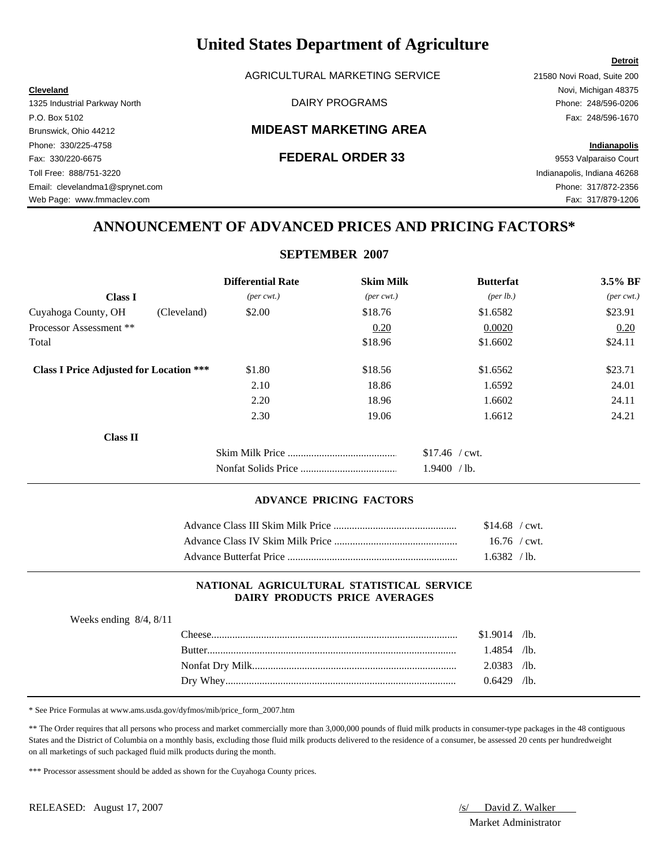AGRICULTURAL MARKETING SERVICE 21580 Novi Road, Suite 200

### Brunswick, Ohio 44212 **MIDEAST MARKETING AREA**

**Cleveland** Novi, Michigan 48375

# **ANNOUNCEMENT OF ADVANCED PRICES AND PRICING FACTORS\***

#### **SEPTEMBER 2007**

|                                                | <b>Differential Rate</b>    | <b>Skim Milk</b>            | <b>Butterfat</b>     | 3.5% BF                     |
|------------------------------------------------|-----------------------------|-----------------------------|----------------------|-----------------------------|
| <b>Class I</b>                                 | $(\text{per} \text{ cwt.})$ | $(\text{per} \text{ cwt.})$ | ${\rm (per \, lb.)}$ | $(\text{per} \text{ cwt.})$ |
| Cuyahoga County, OH<br>(Cleveland)             | \$2.00                      | \$18.76                     | \$1.6582             | \$23.91                     |
| Processor Assessment **                        |                             | 0.20                        | 0.0020               | 0.20                        |
| Total                                          |                             | \$18.96                     | \$1.6602             | \$24.11                     |
| <b>Class I Price Adjusted for Location ***</b> | \$1.80                      | \$18.56                     | \$1.6562             | \$23.71                     |
|                                                | 2.10                        | 18.86                       | 1.6592               | 24.01                       |
|                                                | 2.20                        | 18.96                       | 1.6602               | 24.11                       |
|                                                | 2.30                        | 19.06                       | 1.6612               | 24.21                       |
| <b>Class II</b>                                |                             |                             |                      |                             |
|                                                |                             |                             | $$17.46$ / cwt.      |                             |
|                                                |                             |                             | 1.9400<br>$/$ lb.    |                             |

#### **ADVANCE PRICING FACTORS**

| $$14.68$ / cwt. |  |
|-----------------|--|
| $16.76$ / cwt.  |  |
| 1.6382 / lb.    |  |

#### **NATIONAL AGRICULTURAL STATISTICAL SERVICE DAIRY PRODUCTS PRICE AVERAGES**

| Weeks ending $8/4$ , $8/11$ |                |  |
|-----------------------------|----------------|--|
|                             | $$1.9014$ /lb. |  |
|                             | $1.4854$ /lb.  |  |
|                             | $2.0383$ /lb.  |  |
|                             | $0.6429$ /lb.  |  |
|                             |                |  |

\* See Price Formulas at www.ams.usda.gov/dyfmos/mib/price\_form\_2007.htm

\*\* The Order requires that all persons who process and market commercially more than 3,000,000 pounds of fluid milk products in consumer-type packages in the 48 contiguous States and the District of Columbia on a monthly basis, excluding those fluid milk products delivered to the residence of a consumer, be assessed 20 cents per hundredweight on all marketings of such packaged fluid milk products during the month.

\*\*\* Processor assessment should be added as shown for the Cuyahoga County prices.

Market Administrator

#### **Detroit**

# 1325 Industrial Parkway North DAIRY PROGRAMS Phone: 248/596-0206 P.O. Box 5102 Fax: 248/596-1670 Phone: 330/225-4758 **Indianapolis** Fax: 330/220-6675 **FEDERAL ORDER 33** 9553 Valparaiso Court Toll Free: 888/751-3220 Indianapolis, Indiana 46268 Email: clevelandma1@sprynet.com Phone: 317/872-2356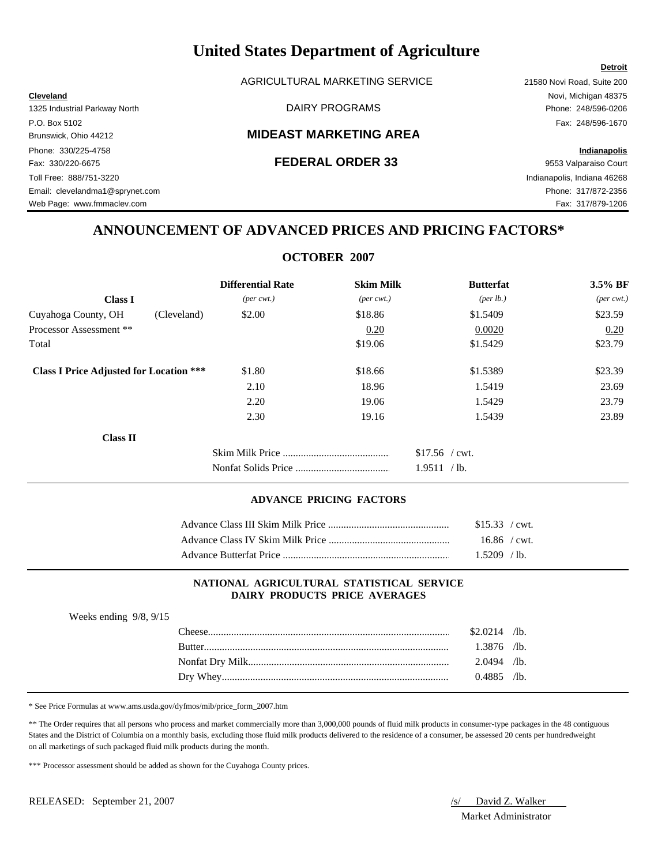AGRICULTURAL MARKETING SERVICE 21580 Novi Road, Suite 200

#### Brunswick, Ohio 44212 **MIDEAST MARKETING AREA**

Phone: 330/225-4758 **Indianapolis** Fax: 330/220-6675 **FEDERAL ORDER 33** 9553 Valparaiso Court Toll Free: 888/751-3220 Indianapolis, Indiana 46268 Email: clevelandma1@sprynet.com Phone: 317/872-2356 Web Page: www.fmmaclev.com example of the example of the example of the example of the example of the example of the example of the example of the example of the example of the example of the example of the example of the

**Cleveland** Novi, Michigan 48375 1325 Industrial Parkway North DAIRY PROGRAMS Phone: 248/596-0206 P.O. Box 5102 Fax: 248/596-1670

# **ANNOUNCEMENT OF ADVANCED PRICES AND PRICING FACTORS\***

|                                                |                             | <b>OCTOBER 2007</b>         |                  |                             |
|------------------------------------------------|-----------------------------|-----------------------------|------------------|-----------------------------|
|                                                | <b>Differential Rate</b>    | <b>Skim Milk</b>            | <b>Butterfat</b> | 3.5% BF                     |
| <b>Class I</b>                                 | $(\text{per} \text{ cwt.})$ | $(\text{per} \text{ cwt.})$ | (per lb.)        | $(\text{per} \text{ cwt.})$ |
| Cuyahoga County, OH<br>(Cleveland)             | \$2.00                      | \$18.86                     | \$1.5409         | \$23.59                     |
| Processor Assessment **                        |                             | 0.20                        | 0.0020           | 0.20                        |
| Total                                          |                             | \$19.06                     | \$1.5429         | \$23.79                     |
| <b>Class I Price Adjusted for Location ***</b> | \$1.80                      | \$18.66                     | \$1.5389         | \$23.39                     |
|                                                | 2.10                        | 18.96                       | 1.5419           | 23.69                       |
|                                                | 2.20                        | 19.06                       | 1.5429           | 23.79                       |
|                                                | 2.30                        | 19.16                       | 1.5439           | 23.89                       |
| Class II                                       |                             |                             |                  |                             |
|                                                |                             |                             | $$17.56$ / cwt.  |                             |
|                                                |                             |                             | 1.9511 / lb.     |                             |

#### **ADVANCE PRICING FACTORS**

| \$15.33 / cwt. |  |
|----------------|--|
| $16.86$ / cwt. |  |
| $1.5209$ /lb.  |  |

#### **NATIONAL AGRICULTURAL STATISTICAL SERVICE DAIRY PRODUCTS PRICE AVERAGES**

| Weeks ending $9/8$ , $9/15$ |               |                |  |
|-----------------------------|---------------|----------------|--|
|                             |               | $$2.0214$ /lb. |  |
|                             | <b>Butter</b> | $1.3876$ /lb.  |  |
|                             |               | $2.0494$ /lb.  |  |
|                             |               | $0.4885$ /lb.  |  |

\* See Price Formulas at www.ams.usda.gov/dyfmos/mib/price\_form\_2007.htm

\*\* The Order requires that all persons who process and market commercially more than 3,000,000 pounds of fluid milk products in consumer-type packages in the 48 contiguous States and the District of Columbia on a monthly basis, excluding those fluid milk products delivered to the residence of a consumer, be assessed 20 cents per hundredweight on all marketings of such packaged fluid milk products during the month.

\*\*\* Processor assessment should be added as shown for the Cuyahoga County prices.

Market Administrator

#### **Detroit**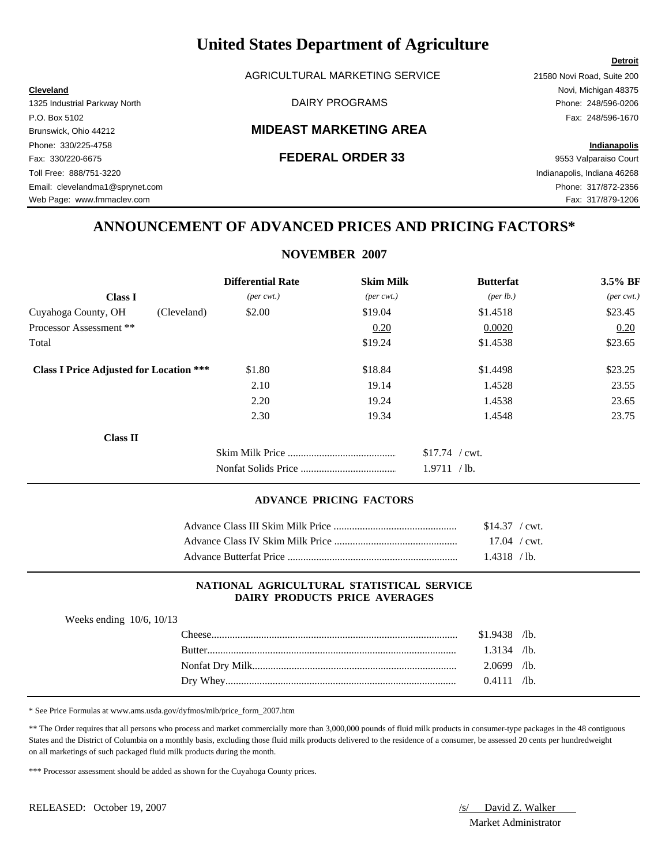AGRICULTURAL MARKETING SERVICE 21580 Novi Road, Suite 200

### Brunswick, Ohio 44212 **MIDEAST MARKETING AREA**

# **ANNOUNCEMENT OF ADVANCED PRICES AND PRICING FACTORS\***

#### **NOVEMBER 2007**

|                                                | <b>Differential Rate</b>    | <b>Skim Milk</b>            | <b>Butterfat</b> | 3.5% BF                     |
|------------------------------------------------|-----------------------------|-----------------------------|------------------|-----------------------------|
| <b>Class I</b>                                 | $(\text{per} \text{ cwt.})$ | $(\text{per} \text{ cwt.})$ | (per lb.)        | $(\text{per} \text{ cwt.})$ |
| Cuyahoga County, OH<br>(Cleveland)             | \$2.00                      | \$19.04                     | \$1.4518         | \$23.45                     |
| Processor Assessment **                        |                             | 0.20                        | 0.0020           | 0.20                        |
| Total                                          |                             | \$19.24                     | \$1.4538         | \$23.65                     |
| <b>Class I Price Adjusted for Location ***</b> | \$1.80                      | \$18.84                     | \$1.4498         | \$23.25                     |
|                                                | 2.10                        | 19.14                       | 1.4528           | 23.55                       |
|                                                | 2.20                        | 19.24                       | 1.4538           | 23.65                       |
|                                                | 2.30                        | 19.34                       | 1.4548           | 23.75                       |
| <b>Class II</b>                                |                             |                             |                  |                             |
|                                                |                             |                             | $$17.74$ / cwt.  |                             |
|                                                |                             |                             | 1.9711 / lb.     |                             |

#### **ADVANCE PRICING FACTORS**

| $$14.37$ / cwt. |  |
|-----------------|--|
| $17.04$ / cwt.  |  |
| $1.4318$ /lb.   |  |

#### **NATIONAL AGRICULTURAL STATISTICAL SERVICE DAIRY PRODUCTS PRICE AVERAGES**

| Weeks ending $10/6$ , $10/13$ |                |  |
|-------------------------------|----------------|--|
|                               | $$1.9438$ /lb. |  |
| <b>Rutter</b>                 | $1.3134$ /lb.  |  |
|                               | $2.0699$ /lb.  |  |
|                               | $0.4111$ /lb.  |  |

\* See Price Formulas at www.ams.usda.gov/dyfmos/mib/price\_form\_2007.htm

\*\* The Order requires that all persons who process and market commercially more than 3,000,000 pounds of fluid milk products in consumer-type packages in the 48 contiguous States and the District of Columbia on a monthly basis, excluding those fluid milk products delivered to the residence of a consumer, be assessed 20 cents per hundredweight on all marketings of such packaged fluid milk products during the month.

\*\*\* Processor assessment should be added as shown for the Cuyahoga County prices.

Market Administrator

### **Detroit**

**Cleveland** Novi, Michigan 48375 1325 Industrial Parkway North DAIRY PROGRAMS Phone: 248/596-0206 P.O. Box 5102 Fax: 248/596-1670 Phone: 330/225-4758 **Indianapolis** Fax: 330/220-6675 **FEDERAL ORDER 33** 9553 Valparaiso Court Toll Free: 888/751-3220 Indianapolis, Indiana 46268 Email: clevelandma1@sprynet.com Phone: 317/872-2356